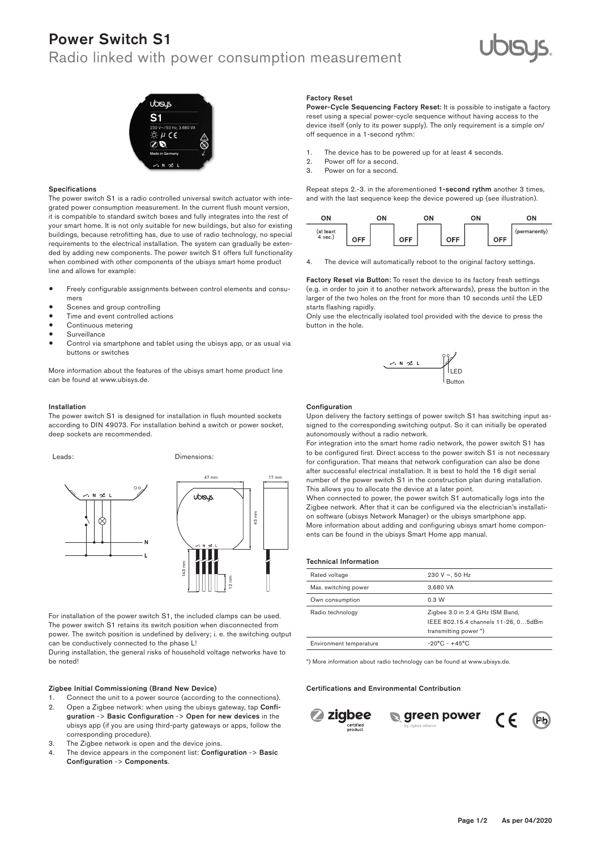## Power Switch S1

### Radio linked with power consumption measurement





### Specifications

The power switch S1 is a radio controlled universal switch actuator with integrated power consumption measurement. In the current flush mount version, it is compatible to standard switch boxes and fully integrates into the rest of your smart home. It is not only suitable for new buildings, but also for existing buildings, because retrofitting has, due to use of radio technology, no special requirements to the electrical installation. The system can gradually be extended by adding new components. The power switch S1 offers full functionality when combined with other components of the ubisys smart home product line and allows for example:

- Freely configurable assignments between control elements and consumers
- Scenes and group controlling
- $\bullet$  Time and event controlled actions
- Continuous metering
- **Surveillance**
- Control via smartphone and tablet using the ubisys app, or as usual via buttons or switches

More information about the features of the ubisys smart home product line can be found at www.ubisys.de.

### Installation

The power switch S1 is designed for installation in flush mounted sockets according to DIN 49073. For installation behind a switch or power socket, deep sockets are recommended.





For installation of the power switch S1, the included clamps can be used. The power switch S1 retains its switch position when disconnected from power. The switch position is undefined by delivery; i. e. the switching output can be conductively connected to the phase L!

During installation, the general risks of household voltage networks have to be noted!

### Zigbee Initial Commissioning (Brand New Device)

- 1. Connect the unit to a power source (according to the connections).
- 2. Open a Zigbee network: when using the ubisys gateway, tap Configuration -> Basic Configuration -> Open for new devices in the ubisys app (if you are using third-party gateways or apps, follow the corresponding procedure).
- 3. The Zigbee network is open and the device joins.
- 4. The device appears in the component list: Configuration -> Basic Configuration -> Components.

### Factory Reset

Power-Cycle Sequencing Factory Reset: It is possible to instigate a factory reset using a special power-cycle sequence without having access to the device itself (only to its power supply). The only requirement is a simple on/ off sequence in a 1-second rythm:

- 1. The device has to be powered up for at least 4 seconds.<br>2. Power off for a second.
- 2. Power off for a second.<br>3. Power on for a second
- Power on for a second.

Repeat steps 2.-3. in the aforementioned 1-second rythm another 3 times, and with the last sequence keep the device powered up (see illustration).



4. The device will automatically reboot to the original factory settings.

Factory Reset via Button: To reset the device to its factory fresh settings (e.g. in order to join it to another network afterwards), press the button in the larger of the two holes on the front for more than 10 seconds until the LED starts flashing rapidly.

Only use the electrically isolated tool provided with the device to press the button in the hole.



#### **Configuration**

Upon delivery the factory settings of power switch S1 has switching input assigned to the corresponding switching output. So it can initially be operated autonomously without a radio network.

 $47 \text{ mm}$  17 mm 12 mm 12 mm 12 mm 12 mm 12 mm 12 mm 12 mm 12 mm 12 mm 12 mm 12 mm 12 mm 12 mm 12 mm 12 mm 12 mm 12 mm 12 mm 12 mm 12 mm 12 mm 12 mm 12 mm 12 mm 12 mm 12 mm 12 mm 12 mm 12 mm 12 mm 12 mm 12 mm 12 mm 12 mm 1 For integration into the smart home radio network, the power switch S1 has to be configured first. Direct access to the power switch S1 is not necessary for configuration. That means that network configuration can also be done after successful electrical installation. It is best to hold the 16 digit serial This allows you to allocate the device at a later point.

> on software (ubisys Network Manager) or the ubisys smartphone app.<br>Mars information about adding and application ubisys smart bank as When connected to power, the power switch S1 automatically logs into the Zigbee network. After that it can be configured via the electrician's installati-More information about adding and configuring ubisys smart home components can be found in the ubisys Smart Home app manual.

| <b>Technical Information</b> |                                                                        |
|------------------------------|------------------------------------------------------------------------|
| Rated voltage                | 230 V $\sim$ , 50 Hz                                                   |
| Max. switching power         | 3.680 VA                                                               |
| Own consumption              | 0.3 W                                                                  |
| Radio technology             | Zigbee 3.0 in 2.4 GHz ISM Band,<br>IEEE 802.15.4 channels 11-26, 05dBm |
|                              | transmitting power *)                                                  |
| Environment temperature      | $-20^{\circ}$ C - $+45^{\circ}$ C                                      |

\*) More information about radio technology can be found at www.ubisys.de.

### Certifications and Environmental Contribution







 $\overline{1}$